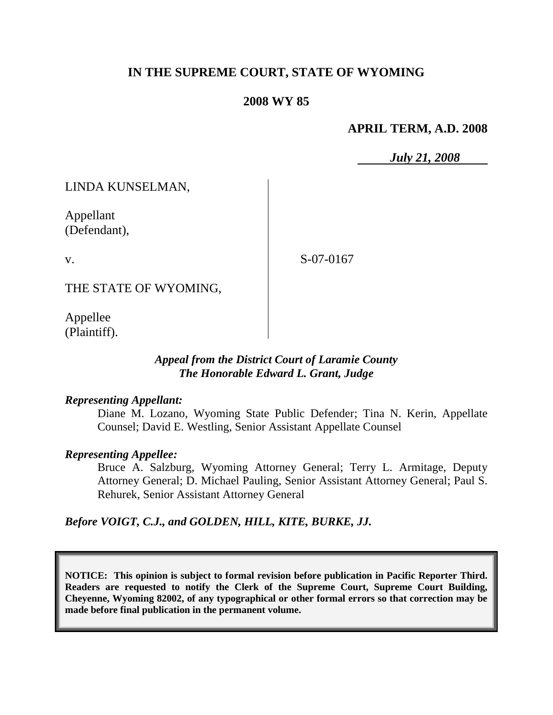# **IN THE SUPREME COURT, STATE OF WYOMING**

## **2008 WY 85**

## **APRIL TERM, A.D. 2008**

*July 21, 2008*

LINDA KUNSELMAN,

Appellant (Defendant),

v.

S-07-0167

THE STATE OF WYOMING,

Appellee (Plaintiff).

## *Appeal from the District Court of Laramie County The Honorable Edward L. Grant, Judge*

## *Representing Appellant:*

Diane M. Lozano, Wyoming State Public Defender; Tina N. Kerin, Appellate Counsel; David E. Westling, Senior Assistant Appellate Counsel

## *Representing Appellee:*

Bruce A. Salzburg, Wyoming Attorney General; Terry L. Armitage, Deputy Attorney General; D. Michael Pauling, Senior Assistant Attorney General; Paul S. Rehurek, Senior Assistant Attorney General

## *Before VOIGT, C.J., and GOLDEN, HILL, KITE, BURKE, JJ.*

**NOTICE: This opinion is subject to formal revision before publication in Pacific Reporter Third. Readers are requested to notify the Clerk of the Supreme Court, Supreme Court Building, Cheyenne, Wyoming 82002, of any typographical or other formal errors so that correction may be made before final publication in the permanent volume.**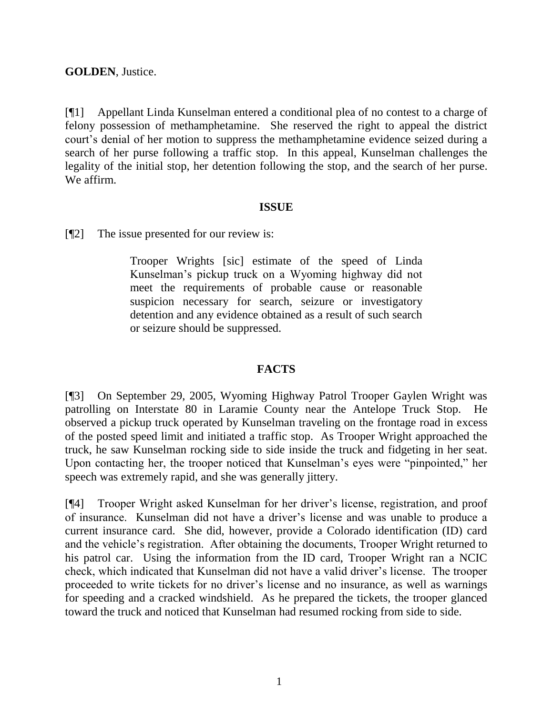# **GOLDEN**, Justice.

[¶1] Appellant Linda Kunselman entered a conditional plea of no contest to a charge of felony possession of methamphetamine. She reserved the right to appeal the district court's denial of her motion to suppress the methamphetamine evidence seized during a search of her purse following a traffic stop. In this appeal, Kunselman challenges the legality of the initial stop, her detention following the stop, and the search of her purse. We affirm.

## **ISSUE**

[¶2] The issue presented for our review is:

Trooper Wrights [sic] estimate of the speed of Linda Kunselman's pickup truck on a Wyoming highway did not meet the requirements of probable cause or reasonable suspicion necessary for search, seizure or investigatory detention and any evidence obtained as a result of such search or seizure should be suppressed.

# **FACTS**

[¶3] On September 29, 2005, Wyoming Highway Patrol Trooper Gaylen Wright was patrolling on Interstate 80 in Laramie County near the Antelope Truck Stop. He observed a pickup truck operated by Kunselman traveling on the frontage road in excess of the posted speed limit and initiated a traffic stop. As Trooper Wright approached the truck, he saw Kunselman rocking side to side inside the truck and fidgeting in her seat. Upon contacting her, the trooper noticed that Kunselman's eyes were "pinpointed," her speech was extremely rapid, and she was generally jittery.

[¶4] Trooper Wright asked Kunselman for her driver's license, registration, and proof of insurance. Kunselman did not have a driver's license and was unable to produce a current insurance card. She did, however, provide a Colorado identification (ID) card and the vehicle's registration. After obtaining the documents, Trooper Wright returned to his patrol car. Using the information from the ID card, Trooper Wright ran a NCIC check, which indicated that Kunselman did not have a valid driver's license. The trooper proceeded to write tickets for no driver's license and no insurance, as well as warnings for speeding and a cracked windshield. As he prepared the tickets, the trooper glanced toward the truck and noticed that Kunselman had resumed rocking from side to side.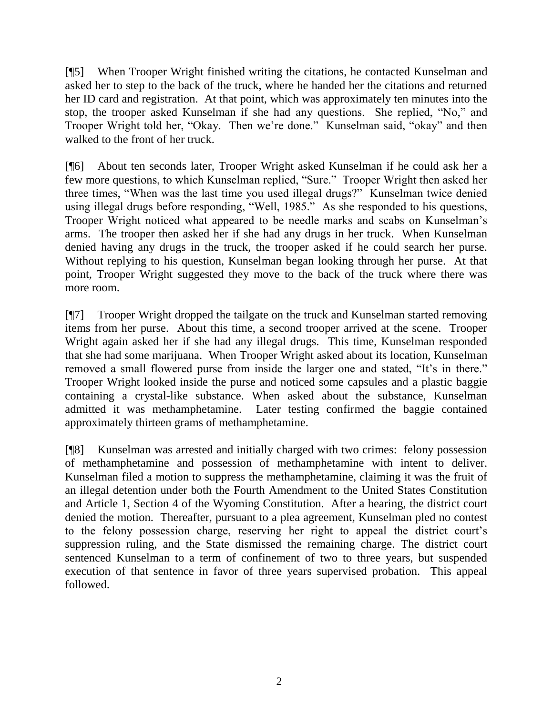[¶5] When Trooper Wright finished writing the citations, he contacted Kunselman and asked her to step to the back of the truck, where he handed her the citations and returned her ID card and registration. At that point, which was approximately ten minutes into the stop, the trooper asked Kunselman if she had any questions. She replied, "No," and Trooper Wright told her, "Okay. Then we're done." Kunselman said, "okay" and then walked to the front of her truck.

[¶6] About ten seconds later, Trooper Wright asked Kunselman if he could ask her a few more questions, to which Kunselman replied, "Sure." Trooper Wright then asked her three times, "When was the last time you used illegal drugs?" Kunselman twice denied using illegal drugs before responding, "Well, 1985." As she responded to his questions, Trooper Wright noticed what appeared to be needle marks and scabs on Kunselman's arms. The trooper then asked her if she had any drugs in her truck. When Kunselman denied having any drugs in the truck, the trooper asked if he could search her purse. Without replying to his question, Kunselman began looking through her purse. At that point, Trooper Wright suggested they move to the back of the truck where there was more room.

[¶7] Trooper Wright dropped the tailgate on the truck and Kunselman started removing items from her purse. About this time, a second trooper arrived at the scene. Trooper Wright again asked her if she had any illegal drugs. This time, Kunselman responded that she had some marijuana. When Trooper Wright asked about its location, Kunselman removed a small flowered purse from inside the larger one and stated, "It's in there." Trooper Wright looked inside the purse and noticed some capsules and a plastic baggie containing a crystal-like substance. When asked about the substance, Kunselman admitted it was methamphetamine. Later testing confirmed the baggie contained approximately thirteen grams of methamphetamine.

[¶8] Kunselman was arrested and initially charged with two crimes: felony possession of methamphetamine and possession of methamphetamine with intent to deliver. Kunselman filed a motion to suppress the methamphetamine, claiming it was the fruit of an illegal detention under both the Fourth Amendment to the United States Constitution and Article 1, Section 4 of the Wyoming Constitution. After a hearing, the district court denied the motion. Thereafter, pursuant to a plea agreement, Kunselman pled no contest to the felony possession charge, reserving her right to appeal the district court's suppression ruling, and the State dismissed the remaining charge. The district court sentenced Kunselman to a term of confinement of two to three years, but suspended execution of that sentence in favor of three years supervised probation. This appeal followed.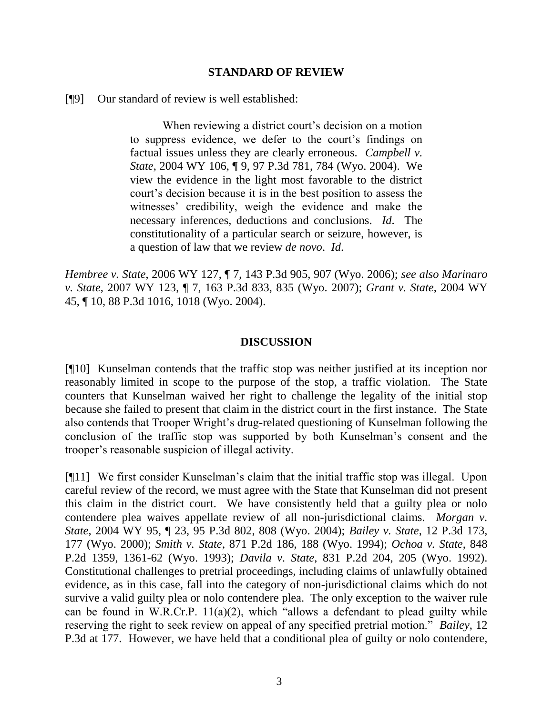#### **STANDARD OF REVIEW**

[¶9] Our standard of review is well established:

When reviewing a district court's decision on a motion to suppress evidence, we defer to the court's findings on factual issues unless they are clearly erroneous. *Campbell v. State*, 2004 WY 106, ¶ 9, 97 P.3d 781, 784 (Wyo. 2004). We view the evidence in the light most favorable to the district court's decision because it is in the best position to assess the witnesses' credibility, weigh the evidence and make the necessary inferences, deductions and conclusions. *Id*. The constitutionality of a particular search or seizure, however, is a question of law that we review *de novo*. *Id*.

*Hembree v. State*, 2006 WY 127, ¶ 7, 143 P.3d 905, 907 (Wyo. 2006); *see also Marinaro v. State*, 2007 WY 123, ¶ 7, 163 P.3d 833, 835 (Wyo. 2007); *Grant v. State*, 2004 WY 45, ¶ 10, 88 P.3d 1016, 1018 (Wyo. 2004).

#### **DISCUSSION**

[¶10] Kunselman contends that the traffic stop was neither justified at its inception nor reasonably limited in scope to the purpose of the stop, a traffic violation. The State counters that Kunselman waived her right to challenge the legality of the initial stop because she failed to present that claim in the district court in the first instance. The State also contends that Trooper Wright's drug-related questioning of Kunselman following the conclusion of the traffic stop was supported by both Kunselman's consent and the trooper's reasonable suspicion of illegal activity.

[¶11] We first consider Kunselman's claim that the initial traffic stop was illegal. Upon careful review of the record, we must agree with the State that Kunselman did not present this claim in the district court. We have consistently held that a guilty plea or nolo contendere plea waives appellate review of all non-jurisdictional claims. *Morgan v. State*, 2004 WY 95, ¶ 23, 95 P.3d 802, 808 (Wyo. 2004); *Bailey v. State*, 12 P.3d 173, 177 (Wyo. 2000); *Smith v. State*, 871 P.2d 186, 188 (Wyo. 1994); *Ochoa v. State*, 848 P.2d 1359, 1361-62 (Wyo. 1993); *Davila v. State*, 831 P.2d 204, 205 (Wyo. 1992). Constitutional challenges to pretrial proceedings, including claims of unlawfully obtained evidence, as in this case, fall into the category of non-jurisdictional claims which do not survive a valid guilty plea or nolo contendere plea. The only exception to the waiver rule can be found in W.R.Cr.P. 11(a)(2), which "allows a defendant to plead guilty while reserving the right to seek review on appeal of any specified pretrial motion." *Bailey*, 12 P.3d at 177. However, we have held that a conditional plea of guilty or nolo contendere,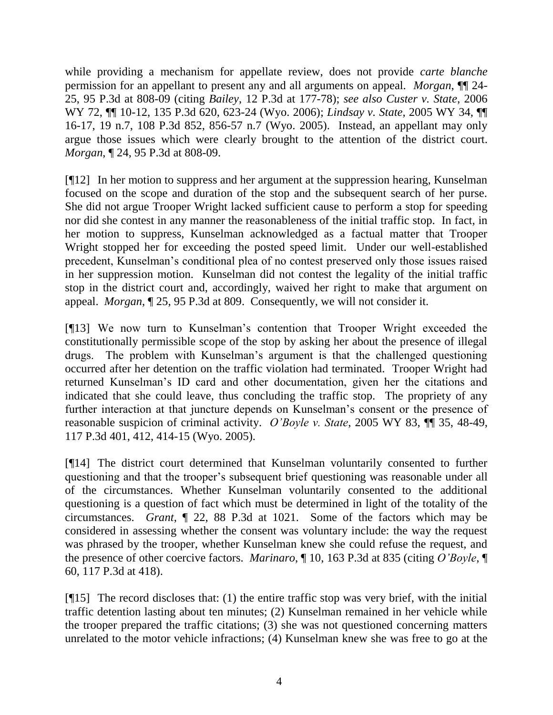while providing a mechanism for appellate review, does not provide *carte blanche* permission for an appellant to present any and all arguments on appeal. *Morgan*, ¶¶ 24- 25, 95 P.3d at 808-09 (citing *Bailey*, 12 P.3d at 177-78); *see also Custer v. State*, 2006 WY 72, ¶¶ 10-12, 135 P.3d 620, 623-24 (Wyo. 2006); *Lindsay v. State*, 2005 WY 34, ¶¶ 16-17, 19 n.7, 108 P.3d 852, 856-57 n.7 (Wyo. 2005). Instead, an appellant may only argue those issues which were clearly brought to the attention of the district court. *Morgan*, ¶ 24, 95 P.3d at 808-09.

[¶12] In her motion to suppress and her argument at the suppression hearing, Kunselman focused on the scope and duration of the stop and the subsequent search of her purse. She did not argue Trooper Wright lacked sufficient cause to perform a stop for speeding nor did she contest in any manner the reasonableness of the initial traffic stop. In fact, in her motion to suppress, Kunselman acknowledged as a factual matter that Trooper Wright stopped her for exceeding the posted speed limit. Under our well-established precedent, Kunselman's conditional plea of no contest preserved only those issues raised in her suppression motion. Kunselman did not contest the legality of the initial traffic stop in the district court and, accordingly, waived her right to make that argument on appeal. *Morgan*, ¶ 25, 95 P.3d at 809. Consequently, we will not consider it.

[¶13] We now turn to Kunselman's contention that Trooper Wright exceeded the constitutionally permissible scope of the stop by asking her about the presence of illegal drugs. The problem with Kunselman's argument is that the challenged questioning occurred after her detention on the traffic violation had terminated. Trooper Wright had returned Kunselman's ID card and other documentation, given her the citations and indicated that she could leave, thus concluding the traffic stop. The propriety of any further interaction at that juncture depends on Kunselman's consent or the presence of reasonable suspicion of criminal activity. *O'Boyle v. State*, 2005 WY 83, ¶¶ 35, 48-49, 117 P.3d 401, 412, 414-15 (Wyo. 2005).

[¶14] The district court determined that Kunselman voluntarily consented to further questioning and that the trooper's subsequent brief questioning was reasonable under all of the circumstances. Whether Kunselman voluntarily consented to the additional questioning is a question of fact which must be determined in light of the totality of the circumstances. *Grant*, ¶ 22, 88 P.3d at 1021. Some of the factors which may be considered in assessing whether the consent was voluntary include: the way the request was phrased by the trooper, whether Kunselman knew she could refuse the request, and the presence of other coercive factors. *Marinaro*, ¶ 10, 163 P.3d at 835 (citing *O'Boyle*, ¶ 60, 117 P.3d at 418).

[ $[15]$ ] The record discloses that: (1) the entire traffic stop was very brief, with the initial traffic detention lasting about ten minutes; (2) Kunselman remained in her vehicle while the trooper prepared the traffic citations; (3) she was not questioned concerning matters unrelated to the motor vehicle infractions; (4) Kunselman knew she was free to go at the